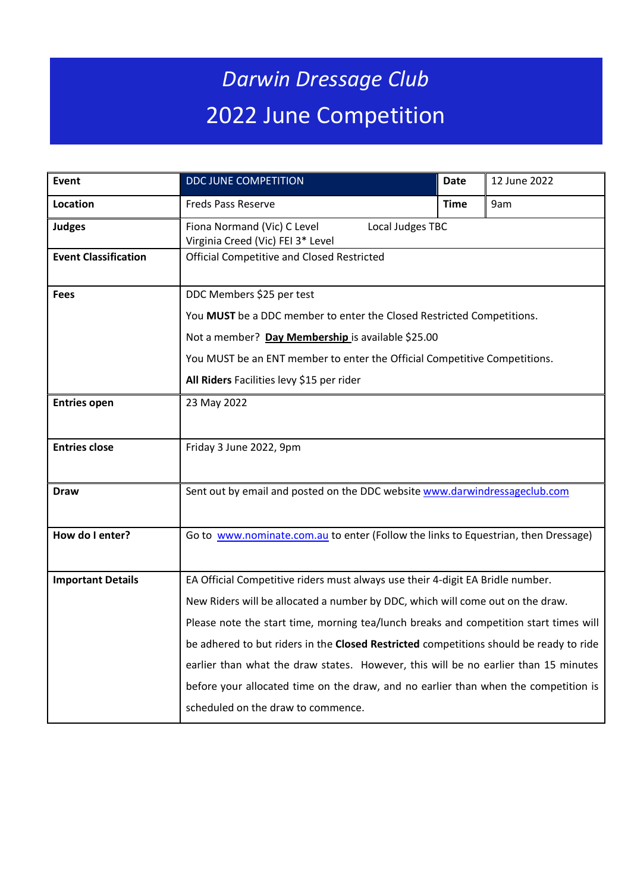## *Darwin Dressage Club* 2022 June Competition

| Event                       | <b>DDC JUNE COMPETITION</b>                                                                                                                                                                             | <b>Date</b> | 12 June 2022 |  |  |  |
|-----------------------------|---------------------------------------------------------------------------------------------------------------------------------------------------------------------------------------------------------|-------------|--------------|--|--|--|
| Location                    | <b>Freds Pass Reserve</b>                                                                                                                                                                               | <b>Time</b> | 9am          |  |  |  |
| <b>Judges</b>               | Fiona Normand (Vic) C Level<br>Local Judges TBC<br>Virginia Creed (Vic) FEI 3* Level                                                                                                                    |             |              |  |  |  |
| <b>Event Classification</b> | <b>Official Competitive and Closed Restricted</b>                                                                                                                                                       |             |              |  |  |  |
| <b>Fees</b>                 | DDC Members \$25 per test                                                                                                                                                                               |             |              |  |  |  |
|                             | You MUST be a DDC member to enter the Closed Restricted Competitions.<br>Not a member? Day Membership is available \$25.00<br>You MUST be an ENT member to enter the Official Competitive Competitions. |             |              |  |  |  |
|                             |                                                                                                                                                                                                         |             |              |  |  |  |
|                             |                                                                                                                                                                                                         |             |              |  |  |  |
|                             | All Riders Facilities levy \$15 per rider                                                                                                                                                               |             |              |  |  |  |
| <b>Entries open</b>         | 23 May 2022                                                                                                                                                                                             |             |              |  |  |  |
| <b>Entries close</b>        | Friday 3 June 2022, 9pm                                                                                                                                                                                 |             |              |  |  |  |
| <b>Draw</b>                 | Sent out by email and posted on the DDC website www.darwindressageclub.com                                                                                                                              |             |              |  |  |  |
| How do I enter?             | Go to www.nominate.com.au to enter (Follow the links to Equestrian, then Dressage)                                                                                                                      |             |              |  |  |  |
| <b>Important Details</b>    | EA Official Competitive riders must always use their 4-digit EA Bridle number.                                                                                                                          |             |              |  |  |  |
|                             | New Riders will be allocated a number by DDC, which will come out on the draw.                                                                                                                          |             |              |  |  |  |
|                             | Please note the start time, morning tea/lunch breaks and competition start times will                                                                                                                   |             |              |  |  |  |
|                             | be adhered to but riders in the Closed Restricted competitions should be ready to ride                                                                                                                  |             |              |  |  |  |
|                             | earlier than what the draw states. However, this will be no earlier than 15 minutes                                                                                                                     |             |              |  |  |  |
|                             | before your allocated time on the draw, and no earlier than when the competition is                                                                                                                     |             |              |  |  |  |
|                             | scheduled on the draw to commence.                                                                                                                                                                      |             |              |  |  |  |